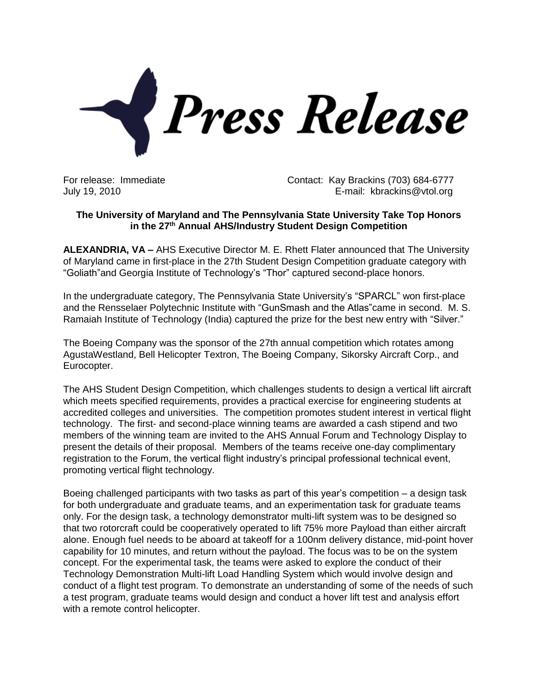

For release: Immediate Contact: Kay Brackins (703) 684-6777 July 19, 2010 E-mail: kbrackins@vtol.org

## **The University of Maryland and The Pennsylvania State University Take Top Honors in the 27th Annual AHS/Industry Student Design Competition**

**ALEXANDRIA, VA –** AHS Executive Director M. E. Rhett Flater announced that The University of Maryland came in first-place in the 27th Student Design Competition graduate category with "Goliath"and Georgia Institute of Technology's "Thor" captured second-place honors.

In the undergraduate category, The Pennsylvania State University's "SPARCL" won first-place and the Rensselaer Polytechnic Institute with "GunSmash and the Atlas"came in second. M. S. Ramaiah Institute of Technology (India) captured the prize for the best new entry with "Silver."

The Boeing Company was the sponsor of the 27th annual competition which rotates among AgustaWestland, Bell Helicopter Textron, The Boeing Company, Sikorsky Aircraft Corp., and Eurocopter.

The AHS Student Design Competition, which challenges students to design a vertical lift aircraft which meets specified requirements, provides a practical exercise for engineering students at accredited colleges and universities. The competition promotes student interest in vertical flight technology. The first- and second-place winning teams are awarded a cash stipend and two members of the winning team are invited to the AHS Annual Forum and Technology Display to present the details of their proposal. Members of the teams receive one-day complimentary registration to the Forum, the vertical flight industry's principal professional technical event, promoting vertical flight technology.

Boeing challenged participants with two tasks as part of this year's competition – a design task for both undergraduate and graduate teams, and an experimentation task for graduate teams only. For the design task, a technology demonstrator multi-lift system was to be designed so that two rotorcraft could be cooperatively operated to lift 75% more Payload than either aircraft alone. Enough fuel needs to be aboard at takeoff for a 100nm delivery distance, mid-point hover capability for 10 minutes, and return without the payload. The focus was to be on the system concept. For the experimental task, the teams were asked to explore the conduct of their Technology Demonstration Multi-lift Load Handling System which would involve design and conduct of a flight test program. To demonstrate an understanding of some of the needs of such a test program, graduate teams would design and conduct a hover lift test and analysis effort with a remote control helicopter.